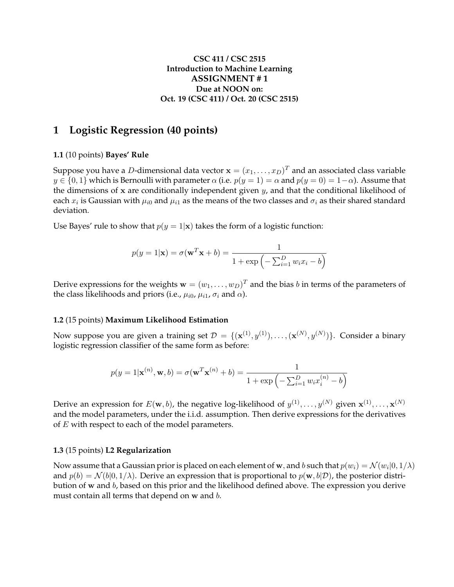## **CSC 411 / CSC 2515 Introduction to Machine Learning ASSIGNMENT # 1 Due at NOON on: Oct. 19 (CSC 411) / Oct. 20 (CSC 2515)**

# **1 Logistic Regression (40 points)**

#### **1.1** (10 points) **Bayes' Rule**

Suppose you have a  $D$ -dimensional data vector  $\mathbf{x}=(x_1,\ldots,x_D)^T$  and an associated class variable  $y \in \{0, 1\}$  which is Bernoulli with parameter  $\alpha$  (i.e.  $p(y = 1) = \alpha$  and  $p(y = 0) = 1 - \alpha$ ). Assume that the dimensions of x are conditionally independent given  $y_i$ , and that the conditional likelihood of each  $x_i$  is Gaussian with  $\mu_{i0}$  and  $\mu_{i1}$  as the means of the two classes and  $\sigma_i$  as their shared standard deviation.

Use Bayes' rule to show that  $p(y = 1|\mathbf{x})$  takes the form of a logistic function:

$$
p(y = 1|\mathbf{x}) = \sigma(\mathbf{w}^T \mathbf{x} + b) = \frac{1}{1 + \exp\left(-\sum_{i=1}^D w_i x_i - b\right)}
$$

Derive expressions for the weights  $\mathbf{w}=(w_1,\ldots,w_D)^T$  and the bias  $b$  in terms of the parameters of the class likelihoods and priors (i.e.,  $\mu_{i0}$ ,  $\mu_{i1}$ ,  $\sigma_i$  and  $\alpha$ ).

#### **1.2** (15 points) **Maximum Likelihood Estimation**

Now suppose you are given a training set  $\mathcal{D} = \{(\mathbf{x}^{(1)}, y^{(1)}), \dots, (\mathbf{x}^{(N)}, y^{(N)})\}.$  Consider a binary logistic regression classifier of the same form as before:

$$
p(y=1|\mathbf{x}^{(n)}, \mathbf{w}, b) = \sigma(\mathbf{w}^T \mathbf{x}^{(n)} + b) = \frac{1}{1 + \exp\left(-\sum_{i=1}^D w_i x_i^{(n)} - b\right)}
$$

Derive an expression for  $E(\mathbf{w},b)$ , the negative log-likelihood of  $y^{(1)},\ldots,y^{(N)}$  given  $\mathbf{x}^{(1)},\ldots,\mathbf{x}^{(N)}$ and the model parameters, under the i.i.d. assumption. Then derive expressions for the derivatives of  $E$  with respect to each of the model parameters.

#### **1.3** (15 points) **L2 Regularization**

Now assume that a Gaussian prior is placed on each element of **w**, and  $b$  such that  $p(w_i) = \mathcal{N}(w_i | 0, 1/\lambda)$ and  $p(b) = \mathcal{N}(b|0, 1/\lambda)$ . Derive an expression that is proportional to  $p(\mathbf{w}, b|\mathcal{D})$ , the posterior distribution of w and b, based on this prior and the likelihood defined above. The expression you derive must contain all terms that depend on w and b.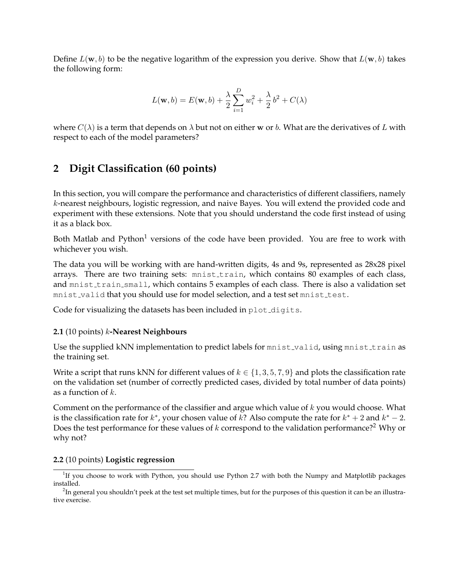Define  $L(\mathbf{w}, b)$  to be the negative logarithm of the expression you derive. Show that  $L(\mathbf{w}, b)$  takes the following form:

$$
L(\mathbf{w},b) = E(\mathbf{w},b) + \frac{\lambda}{2} \sum_{i=1}^{D} w_i^2 + \frac{\lambda}{2} b^2 + C(\lambda)
$$

where  $C(\lambda)$  is a term that depends on  $\lambda$  but not on either w or b. What are the derivatives of L with respect to each of the model parameters?

# **2 Digit Classification (60 points)**

In this section, you will compare the performance and characteristics of different classifiers, namely k-nearest neighbours, logistic regression, and naive Bayes. You will extend the provided code and experiment with these extensions. Note that you should understand the code first instead of using it as a black box.

Both Matlab and Python<sup>1</sup> versions of the code have been provided. You are free to work with whichever you wish.

The data you will be working with are hand-written digits, 4s and 9s, represented as 28x28 pixel arrays. There are two training sets: mnist\_train, which contains 80 examples of each class, and mnist\_train\_small, which contains 5 examples of each class. There is also a validation set mnist valid that you should use for model selection, and a test set mnist test.

Code for visualizing the datasets has been included in plot\_digits.

## **2.1** (10 points) k**-Nearest Neighbours**

Use the supplied kNN implementation to predict labels for mnist-valid, using mnist-train as the training set.

Write a script that runs kNN for different values of  $k \in \{1, 3, 5, 7, 9\}$  and plots the classification rate on the validation set (number of correctly predicted cases, divided by total number of data points) as a function of  $k$ .

Comment on the performance of the classifier and argue which value of  $k$  you would choose. What is the classification rate for  $k^*$ , your chosen value of  $k$ ? Also compute the rate for  $k^* + 2$  and  $k^* - 2$ . Does the test performance for these values of  $k$  correspond to the validation performance?<sup>2</sup> Why or why not?

## **2.2** (10 points) **Logistic regression**

 $1$ If you choose to work with Python, you should use Python 2.7 with both the Numpy and Matplotlib packages installed.

 $^2$ In general you shouldn't peek at the test set multiple times, but for the purposes of this question it can be an illustrative exercise.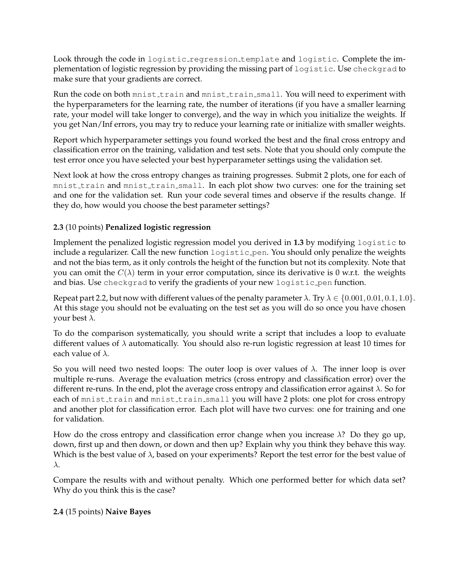Look through the code in logistic regression template and logistic. Complete the implementation of logistic regression by providing the missing part of logistic. Use checkgrad to make sure that your gradients are correct.

Run the code on both mnist train and mnist train small. You will need to experiment with the hyperparameters for the learning rate, the number of iterations (if you have a smaller learning rate, your model will take longer to converge), and the way in which you initialize the weights. If you get Nan/Inf errors, you may try to reduce your learning rate or initialize with smaller weights.

Report which hyperparameter settings you found worked the best and the final cross entropy and classification error on the training, validation and test sets. Note that you should only compute the test error once you have selected your best hyperparameter settings using the validation set.

Next look at how the cross entropy changes as training progresses. Submit 2 plots, one for each of mnist train and mnist train small. In each plot show two curves: one for the training set and one for the validation set. Run your code several times and observe if the results change. If they do, how would you choose the best parameter settings?

## **2.3** (10 points) **Penalized logistic regression**

Implement the penalized logistic regression model you derived in **1.3** by modifying logistic to include a regularizer. Call the new function logistic pen. You should only penalize the weights and not the bias term, as it only controls the height of the function but not its complexity. Note that you can omit the  $C(\lambda)$  term in your error computation, since its derivative is 0 w.r.t. the weights and bias. Use checkgrad to verify the gradients of your new logistic pen function.

Repeat part 2.2, but now with different values of the penalty parameter  $\lambda$ . Try  $\lambda \in \{0.001, 0.01, 0.1, 1.0\}$ . At this stage you should not be evaluating on the test set as you will do so once you have chosen your best  $\lambda$ .

To do the comparison systematically, you should write a script that includes a loop to evaluate different values of  $\lambda$  automatically. You should also re-run logistic regression at least 10 times for each value of  $\lambda$ .

So you will need two nested loops: The outer loop is over values of  $\lambda$ . The inner loop is over multiple re-runs. Average the evaluation metrics (cross entropy and classification error) over the different re-runs. In the end, plot the average cross entropy and classification error against  $\lambda$ . So for each of mnist\_train and mnist\_train\_small you will have 2 plots: one plot for cross entropy and another plot for classification error. Each plot will have two curves: one for training and one for validation.

How do the cross entropy and classification error change when you increase  $\lambda$ ? Do they go up, down, first up and then down, or down and then up? Explain why you think they behave this way. Which is the best value of  $\lambda$ , based on your experiments? Report the test error for the best value of λ.

Compare the results with and without penalty. Which one performed better for which data set? Why do you think this is the case?

## **2.4** (15 points) **Naive Bayes**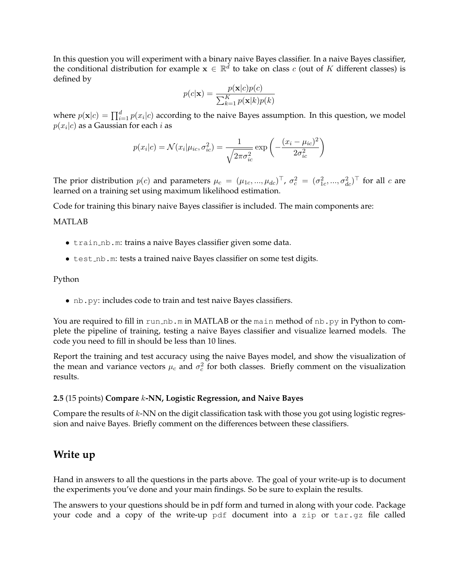In this question you will experiment with a binary naive Bayes classifier. In a naive Bayes classifier, the conditional distribution for example  $\mathbf{x} \in \mathbb{R}^d$  to take on class c (out of K different classes) is defined by

$$
p(c|\mathbf{x}) = \frac{p(\mathbf{x}|c)p(c)}{\sum_{k=1}^{K} p(\mathbf{x}|k)p(k)}
$$

where  $p(\mathbf{x}|c) = \prod_{i=1}^d p(x_i|c)$  according to the naive Bayes assumption. In this question, we model  $p(x_i|c)$  as a Gaussian for each  $i$  as

$$
p(x_i|c) = \mathcal{N}(x_i|\mu_{ic}, \sigma_{ic}^2) = \frac{1}{\sqrt{2\pi\sigma_{ic}^2}} \exp\left(-\frac{(x_i - \mu_{ic})^2}{2\sigma_{ic}^2}\right)
$$

The prior distribution  $p(c)$  and parameters  $\mu_c = (\mu_{1c}, ..., \mu_{dc})^\top$ ,  $\sigma_c^2 = (\sigma_{1c}^2, ..., \sigma_{dc}^2)^\top$  for all  $c$  are learned on a training set using maximum likelihood estimation.

Code for training this binary naive Bayes classifier is included. The main components are:

#### MATLAB

- train nb.m: trains a naive Bayes classifier given some data.
- test\_nb.m: tests a trained naive Bayes classifier on some test digits.

#### Python

• nb.py: includes code to train and test naive Bayes classifiers.

You are required to fill in run\_nb.m in MATLAB or the main method of nb.py in Python to complete the pipeline of training, testing a naive Bayes classifier and visualize learned models. The code you need to fill in should be less than 10 lines.

Report the training and test accuracy using the naive Bayes model, and show the visualization of the mean and variance vectors  $\mu_c$  and  $\sigma_c^2$  for both classes. Briefly comment on the visualization results.

#### **2.5** (15 points) **Compare** k**-NN, Logistic Regression, and Naive Bayes**

Compare the results of k-NN on the digit classification task with those you got using logistic regression and naive Bayes. Briefly comment on the differences between these classifiers.

## **Write up**

Hand in answers to all the questions in the parts above. The goal of your write-up is to document the experiments you've done and your main findings. So be sure to explain the results.

The answers to your questions should be in pdf form and turned in along with your code. Package your code and a copy of the write-up pdf document into a zip or tar.gz file called